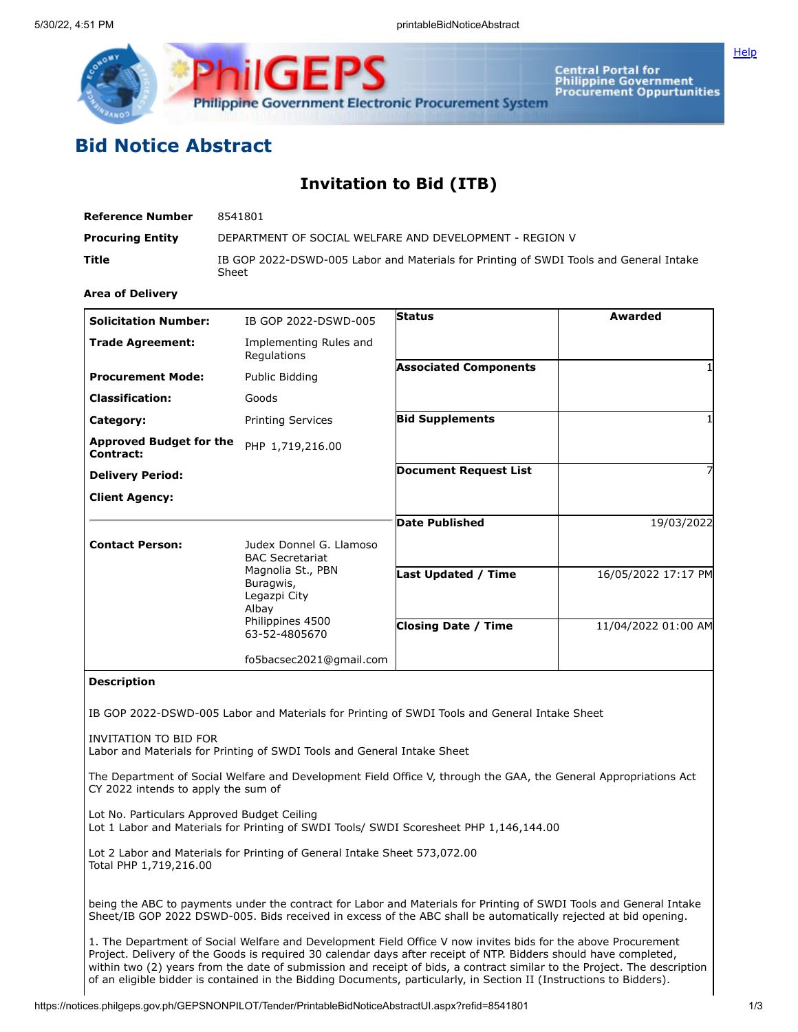

Central Portal for<br>Philippine Government<br>Procurement Oppurtunities

**[Help](javascript:void(window.open()** 

## **Bid Notice Abstract**

## **Invitation to Bid (ITB)**

| Reference Number        | 8541801                                                                                         |
|-------------------------|-------------------------------------------------------------------------------------------------|
| <b>Procuring Entity</b> | DEPARTMENT OF SOCIAL WELFARE AND DEVELOPMENT - REGION V                                         |
| Title                   | IB GOP 2022-DSWD-005 Labor and Materials for Printing of SWDI Tools and General Intake<br>Sheet |

## **Area of Delivery**

| <b>Solicitation Number:</b>                 | IB GOP 2022-DSWD-005                                                                         | <b>Status</b>                | Awarded             |
|---------------------------------------------|----------------------------------------------------------------------------------------------|------------------------------|---------------------|
| <b>Trade Agreement:</b>                     | Implementing Rules and<br>Regulations                                                        |                              |                     |
| <b>Procurement Mode:</b>                    | Public Bidding                                                                               | <b>Associated Components</b> |                     |
| <b>Classification:</b>                      | Goods                                                                                        |                              |                     |
| Category:                                   | <b>Printing Services</b>                                                                     | <b>Bid Supplements</b>       |                     |
| <b>Approved Budget for the</b><br>Contract: | PHP 1,719,216.00                                                                             |                              |                     |
| <b>Delivery Period:</b>                     |                                                                                              | <b>Document Request List</b> | 7                   |
| <b>Client Agency:</b>                       |                                                                                              |                              |                     |
|                                             |                                                                                              | <b>Date Published</b>        | 19/03/2022          |
| <b>Contact Person:</b>                      | Judex Donnel G. Llamoso<br><b>BAC Secretariat</b>                                            |                              |                     |
|                                             | Magnolia St., PBN<br>Buragwis,<br>Legazpi City<br>Albay<br>Philippines 4500<br>63-52-4805670 | <b>Last Updated / Time</b>   | 16/05/2022 17:17 PM |
|                                             |                                                                                              | <b>Closing Date / Time</b>   | 11/04/2022 01:00 AM |
|                                             | fo5bacsec2021@gmail.com                                                                      |                              |                     |

## **Description**

IB GOP 2022-DSWD-005 Labor and Materials for Printing of SWDI Tools and General Intake Sheet

INVITATION TO BID FOR Labor and Materials for Printing of SWDI Tools and General Intake Sheet

The Department of Social Welfare and Development Field Office V, through the GAA, the General Appropriations Act CY 2022 intends to apply the sum of

Lot No. Particulars Approved Budget Ceiling Lot 1 Labor and Materials for Printing of SWDI Tools/ SWDI Scoresheet PHP 1,146,144.00

Lot 2 Labor and Materials for Printing of General Intake Sheet 573,072.00 Total PHP 1,719,216.00

being the ABC to payments under the contract for Labor and Materials for Printing of SWDI Tools and General Intake Sheet/IB GOP 2022 DSWD-005. Bids received in excess of the ABC shall be automatically rejected at bid opening.

1. The Department of Social Welfare and Development Field Office V now invites bids for the above Procurement Project. Delivery of the Goods is required 30 calendar days after receipt of NTP. Bidders should have completed, within two (2) years from the date of submission and receipt of bids, a contract similar to the Project. The description of an eligible bidder is contained in the Bidding Documents, particularly, in Section II (Instructions to Bidders).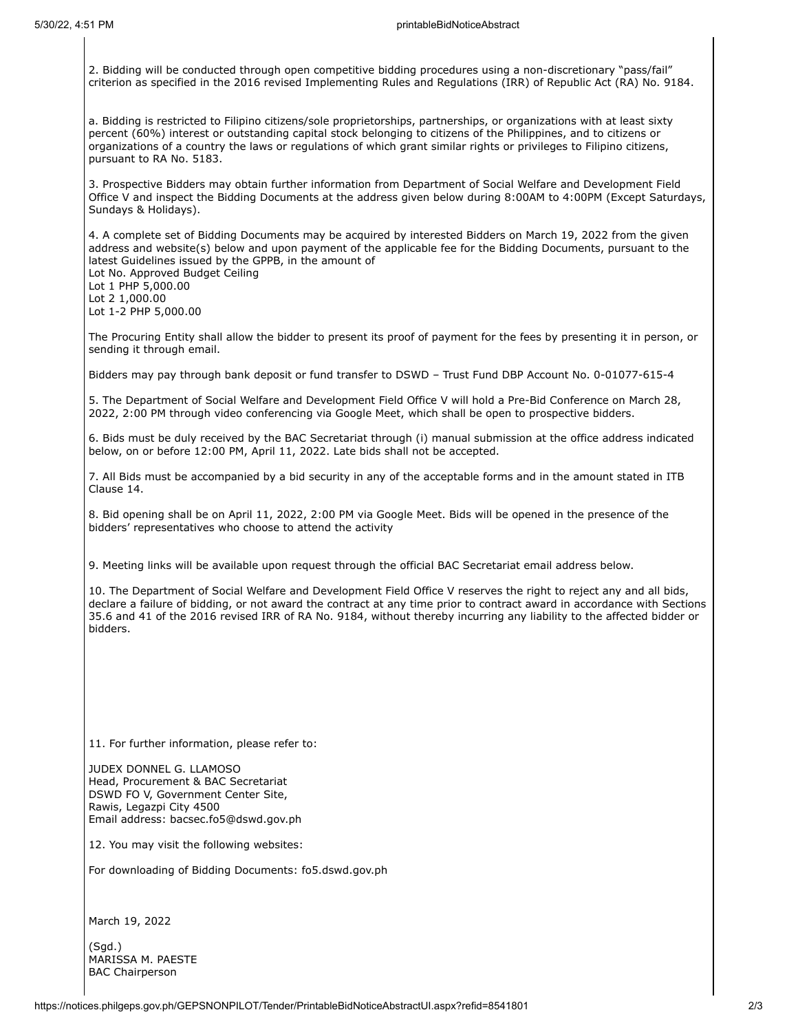2. Bidding will be conducted through open competitive bidding procedures using a non-discretionary "pass/fail" criterion as specified in the 2016 revised Implementing Rules and Regulations (IRR) of Republic Act (RA) No. 9184.

a. Bidding is restricted to Filipino citizens/sole proprietorships, partnerships, or organizations with at least sixty percent (60%) interest or outstanding capital stock belonging to citizens of the Philippines, and to citizens or organizations of a country the laws or regulations of which grant similar rights or privileges to Filipino citizens, pursuant to RA No. 5183.

3. Prospective Bidders may obtain further information from Department of Social Welfare and Development Field Office V and inspect the Bidding Documents at the address given below during 8:00AM to 4:00PM (Except Saturdays, Sundays & Holidays).

4. A complete set of Bidding Documents may be acquired by interested Bidders on March 19, 2022 from the given address and website(s) below and upon payment of the applicable fee for the Bidding Documents, pursuant to the latest Guidelines issued by the GPPB, in the amount of

Lot No. Approved Budget Ceiling Lot 1 PHP 5,000.00 Lot 2 1,000.00 Lot 1-2 PHP 5,000.00

The Procuring Entity shall allow the bidder to present its proof of payment for the fees by presenting it in person, or sending it through email.

Bidders may pay through bank deposit or fund transfer to DSWD – Trust Fund DBP Account No. 0-01077-615-4

5. The Department of Social Welfare and Development Field Office V will hold a Pre-Bid Conference on March 28, 2022, 2:00 PM through video conferencing via Google Meet, which shall be open to prospective bidders.

6. Bids must be duly received by the BAC Secretariat through (i) manual submission at the office address indicated below, on or before 12:00 PM, April 11, 2022. Late bids shall not be accepted.

7. All Bids must be accompanied by a bid security in any of the acceptable forms and in the amount stated in ITB Clause 14.

8. Bid opening shall be on April 11, 2022, 2:00 PM via Google Meet. Bids will be opened in the presence of the bidders' representatives who choose to attend the activity

9. Meeting links will be available upon request through the official BAC Secretariat email address below.

10. The Department of Social Welfare and Development Field Office V reserves the right to reject any and all bids, declare a failure of bidding, or not award the contract at any time prior to contract award in accordance with Sections 35.6 and 41 of the 2016 revised IRR of RA No. 9184, without thereby incurring any liability to the affected bidder or bidders.

11. For further information, please refer to:

JUDEX DONNEL G. LLAMOSO Head, Procurement & BAC Secretariat DSWD FO V, Government Center Site, Rawis, Legazpi City 4500 Email address: bacsec.fo5@dswd.gov.ph

12. You may visit the following websites:

For downloading of Bidding Documents: fo5.dswd.gov.ph

March 19, 2022

(Sgd.) MARISSA M. PAESTE BAC Chairperson